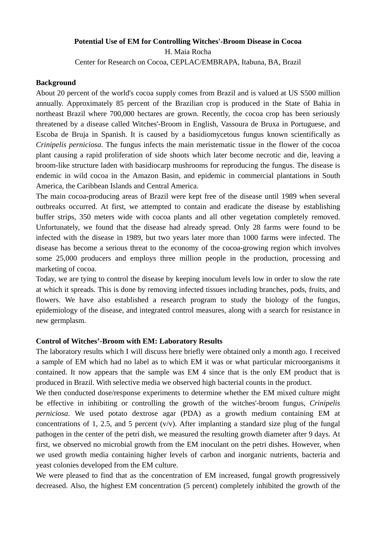## **Potential Use of EM for Controlling Witches'-Broom Disease in Cocoa**  H. Maia Rocha

Center for Research on Cocoa, CEPLAC/EMBRAPA, Itabuna, BA, Brazil

## **Background**

About 20 percent of the world's cocoa supply comes from Brazil and is valued at US S500 million annually. Approximately 85 percent of the Brazilian crop is produced in the State of Bahia in northeast Brazil where 700,000 hectares are grown. Recently, the cocoa crop has been seriously threatened by a disease called Witches'-Broom in English, Vassoura de Bruxa in Portuguese, and Escoba de Bruja in Spanish. It is caused by a basidiomycetous fungus known scientifically as *Crinipelis perniciosa*. The fungus infects the main meristematic tissue in the flower of the cocoa plant causing a rapid proliferation of side shoots which later become necrotic and die, leaving a broom-like structure laden with basidiocarp mushrooms for reproducing the fungus. The disease is endemic in wild cocoa in the Amazon Basin, and epidemic in commercial plantations in South America, the Caribbean Islands and Central America.

The main cocoa-producing areas of Brazil were kept free of the disease until 1989 when several outbreaks occurred. At first, we attempted to contain and eradicate the disease by establishing buffer strips, 350 meters wide with cocoa plants and all other vegetation completely removed. Unfortunately, we found that the disease had already spread. Only 28 farms were found to be infected with the disease in 1989, but two years later more than 1000 farms were infected. The disease has become a serious threat to the economy of the cocoa-growing region which involves some 25,000 producers and employs three million people in the production, processing and marketing of cocoa.

Today, we are tying to control the disease by keeping inoculum levels low in order to slow the rate at which it spreads. This is done by removing infected tissues including branches, pods, fruits, and flowers. We have also established a research program to study the biology of the fungus, epidemiology of the disease, and integrated control measures, along with a search for resistance in new germplasm.

## **Control of Witches'-Broom with EM: Laboratory Results**

The laboratory results which I will discuss here briefly were obtained only a month ago. I received a sample of EM which had no label as to which EM it was or what particular microorganisms it contained. It now appears that the sample was EM 4 since that is the only EM product that is produced in Brazil. With selective media we observed high bacterial counts in the product.

We then conducted dose/response experiments to determine whether the EM mixed culture might be effective in inhibiting or controlling the growth of the witches'-broom fungus, *Crinipelis perniciosa*. We used potato dextrose agar (PDA) as a growth medium containing EM at concentrations of 1, 2.5, and 5 percent  $(v/v)$ . After implanting a standard size plug of the fungal pathogen in the center of the petri dish, we measured the resulting growth diameter after 9 days. At first, we observed no microbial growth from the EM inoculant on the petri dishes. However, when we used growth media containing higher levels of carbon and inorganic nutrients, bacteria and yeast colonies developed from the EM culture.

We were pleased to find that as the concentration of EM increased, fungal growth progressively decreased. Also, the highest EM concentration (5 percent) completely inhibited the growth of the